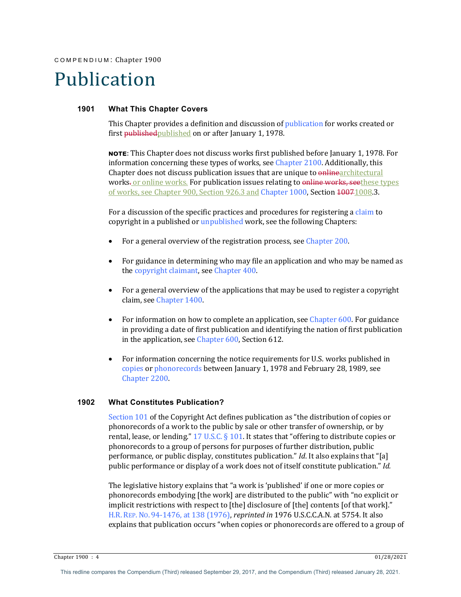COMPENDIUM : Chapter 1900

# Publication

#### **1901 What This Chapter Covers**

This Chapter provides a definition and discussion of publication for works created or first **published** published on or after January 1, 1978.

**NOTE:** This Chapter does not discuss works first published before January 1, 1978. For information concerning these types of works, see Chapter  $2100$ . Additionally, this Chapter does not discuss publication issues that are unique to onlinearchitectural works. or online works. For publication issues relating to online works, seethese types of works, see Chapter 900, Section 926.3 and Chapter 1000, Section 40071008.3.

For a discussion of the specific practices and procedures for registering a claim to copyright in a published or unpublished work, see the following Chapters:

- For a general overview of the registration process, see Chapter 200.
- For guidance in determining who may file an application and who may be named as the copyright claimant, see Chapter 400.
- For a general overview of the applications that may be used to register a copyright claim, see Chapter 1400.
- For information on how to complete an application, see Chapter 600. For guidance in providing a date of first publication and identifying the nation of first publication in the application, see Chapter  $600$ , Section  $612$ .
- For information concerning the notice requirements for U.S. works published in copies or phonorecords between January 1, 1978 and February 28, 1989, see Chapter 2200.

## **1902 What Constitutes Publication?**

Section  $101$  of the Copyright Act defines publication as "the distribution of copies or phonorecords of a work to the public by sale or other transfer of ownership, or by rental, lease, or lending."  $17 \text{ U.S.C.} \S 101$ . It states that "offering to distribute copies or phonorecords to a group of persons for purposes of further distribution, public performance, or public display, constitutes publication." *Id*. It also explains that "[a] public performance or display of a work does not of itself constitute publication." *Id.* 

The legislative history explains that "a work is 'published' if one or more copies or phonorecords embodying [the work] are distributed to the public" with "no explicit or implicit restrictions with respect to [the] disclosure of [the] contents [of that work]." H.R. REP. No. 94-1476, at 138 (1976), *reprinted in* 1976 U.S.C.C.A.N. at 5754. It also explains that publication occurs "when copies or phonorecords are offered to a group of

Chapter 1900 : 4 01/28/2021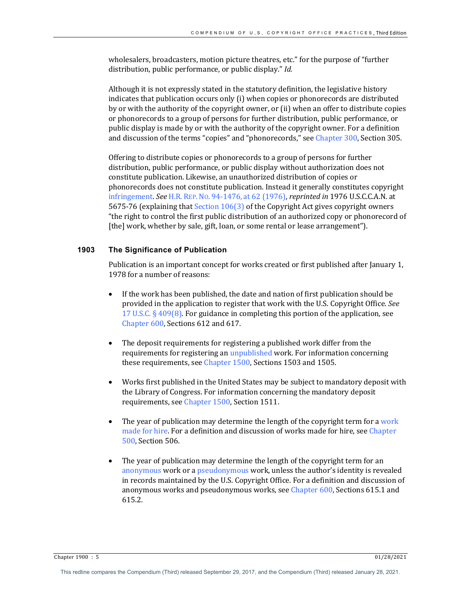wholesalers, broadcasters, motion picture theatres, etc." for the purpose of "further distribution, public performance, or public display." *Id.* 

Although it is not expressly stated in the statutory definition, the legislative history indicates that publication occurs only (i) when copies or phonorecords are distributed by or with the authority of the copyright owner, or (ii) when an offer to distribute copies or phonorecords to a group of persons for further distribution, public performance, or public display is made by or with the authority of the copyright owner. For a definition and discussion of the terms "copies" and "phonorecords," see Chapter 300, Section 305.

Offering to distribute copies or phonorecords to a group of persons for further distribution, public performance, or public display without authorization does not constitute publication. Likewise, an unauthorized distribution of copies or phonorecords does not constitute publication. Instead it generally constitutes copyright infringement. *See* H.R. REP. NO. 94-1476, at 62 (1976), *reprinted in* 1976 U.S.C.C.A.N. at 5675-76 (explaining that Section  $106(3)$  of the Copyright Act gives copyright owners "the right to control the first public distribution of an authorized copy or phonorecord of [the] work, whether by sale, gift, loan, or some rental or lease arrangement").

## **1903 The Significance of Publication**

Publication is an important concept for works created or first published after January 1, 1978 for a number of reasons:

- If the work has been published, the date and nation of first publication should be provided in the application to register that work with the U.S. Copyright Office. See 17 U.S.C.  $\S$  409(8). For guidance in completing this portion of the application, see Chapter 600, Sections 612 and 617.
- The deposit requirements for registering a published work differ from the requirements for registering an unpublished work. For information concerning these requirements, see Chapter 1500, Sections 1503 and 1505.
- Works first published in the United States may be subject to mandatory deposit with the Library of Congress. For information concerning the mandatory deposit requirements, see Chapter 1500, Section 1511.
- The year of publication may determine the length of the copyright term for a work made for hire. For a definition and discussion of works made for hire, see Chapter 500, Section 506.
- The year of publication may determine the length of the copyright term for an anonymous work or a *pseudonymous* work, unless the author's identity is revealed in records maintained by the U.S. Copyright Office. For a definition and discussion of anonymous works and pseudonymous works, see  $Chatter 600$ , Sections 615.1 and 615.2.

Chapter 1900 : 5 01/28/2021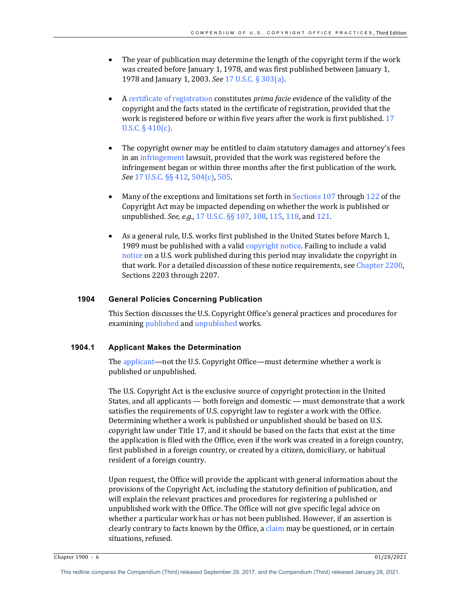- The year of publication may determine the length of the copyright term if the work was created before January 1, 1978, and was first published between January 1, 1978 and January 1, 2003. *See* 17 U.S.C. § 303(a).
- A certificate of registration constitutes *prima facie* evidence of the validity of the copyright and the facts stated in the certificate of registration, provided that the work is registered before or within five years after the work is first published. 17 U.S.C.  $\S$  410(c).
- The copyright owner may be entitled to claim statutory damages and attorney's fees in an infringement lawsuit, provided that the work was registered before the infringement began or within three months after the first publication of the work. *See* 17 U.S.C. §§ 412, 504(c), 505.
- Many of the exceptions and limitations set forth in Sections  $107$  through  $122$  of the Copyright Act may be impacted depending on whether the work is published or unpublished. *See, e.g.,* 17 U.S.C. §§ 107, 108, 115, 118, and 121.
- As a general rule, U.S. works first published in the United States before March 1, 1989 must be published with a valid copyright notice. Failing to include a valid notice on a U.S. work published during this period may invalidate the copyright in that work. For a detailed discussion of these notice requirements, see Chapter 2200, Sections 2203 through 2207.

# **1904 General Policies Concerning Publication**

This Section discusses the U.S. Copyright Office's general practices and procedures for examining published and unpublished works.

#### **1904.1 Applicant Makes the Determination**

The applicant—not the U.S. Copyright Office—must determine whether a work is published or unpublished.

The U.S. Copyright Act is the exclusive source of copyright protection in the United States, and all applicants  $-$  both foreign and domestic  $-$  must demonstrate that a work satisfies the requirements of U.S. copyright law to register a work with the Office. Determining whether a work is published or unpublished should be based on U.S. copyright law under Title 17, and it should be based on the facts that exist at the time the application is filed with the Office, even if the work was created in a foreign country, first published in a foreign country, or created by a citizen, domiciliary, or habitual resident of a foreign country.

Upon request, the Office will provide the applicant with general information about the provisions of the Copyright Act, including the statutory definition of publication, and will explain the relevant practices and procedures for registering a published or unpublished work with the Office. The Office will not give specific legal advice on whether a particular work has or has not been published. However, if an assertion is clearly contrary to facts known by the Office, a claim may be questioned, or in certain situations, refused.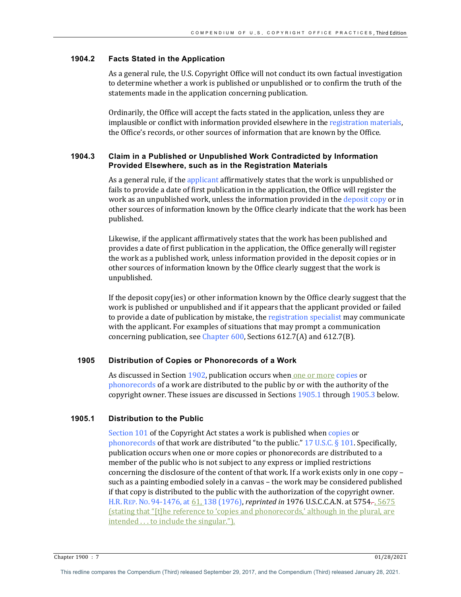# **1904.2 Facts Stated in the Application**

As a general rule, the U.S. Copyright Office will not conduct its own factual investigation to determine whether a work is published or unpublished or to confirm the truth of the statements made in the application concerning publication.

Ordinarily, the Office will accept the facts stated in the application, unless they are implausible or conflict with information provided elsewhere in the registration materials, the Office's records, or other sources of information that are known by the Office.

## **1904.3 Claim in a Published or Unpublished Work Contradicted by Information Provided Elsewhere, such as in the Registration Materials**

As a general rule, if the applicant affirmatively states that the work is unpublished or fails to provide a date of first publication in the application, the Office will register the work as an unpublished work, unless the information provided in the deposit copy or in other sources of information known by the Office clearly indicate that the work has been published. 

Likewise, if the applicant affirmatively states that the work has been published and provides a date of first publication in the application, the Office generally will register the work as a published work, unless information provided in the deposit copies or in other sources of information known by the Office clearly suggest that the work is unpublished. 

If the deposit copy(ies) or other information known by the Office clearly suggest that the work is published or unpublished and if it appears that the applicant provided or failed to provide a date of publication by mistake, the registration specialist may communicate with the applicant. For examples of situations that may prompt a communication concerning publication, see Chapter  $600$ , Sections  $612.7(A)$  and  $612.7(B)$ .

# **1905 Distribution of Copies or Phonorecords of a Work**

As discussed in Section 1902, publication occurs when one or more copies or phonorecords of a work are distributed to the public by or with the authority of the copyright owner. These issues are discussed in Sections 1905.1 through 1905.3 below.

# **1905.1 Distribution to the Public**

Section 101 of the Copyright Act states a work is published when copies or phonorecords of that work are distributed "to the public."  $17 \text{ U.S.C.} \S 101$ . Specifically, publication occurs when one or more copies or phonorecords are distributed to a member of the public who is not subject to any express or implied restrictions concerning the disclosure of the content of that work. If a work exists only in one copy – such as a painting embodied solely in a canvas  $-$  the work may be considered published if that copy is distributed to the public with the authorization of the copyright owner. H.R. REP. No. 94-1476, at 61, 138 (1976), *reprinted in* 1976 U.S.C.C.A.N. at 5754., 5675 (stating that "[t]he reference to 'copies and phonorecords,' although in the plural, are  $intended \dots$  to include the singular.").

Chapter 1900 : 7 01/28/2021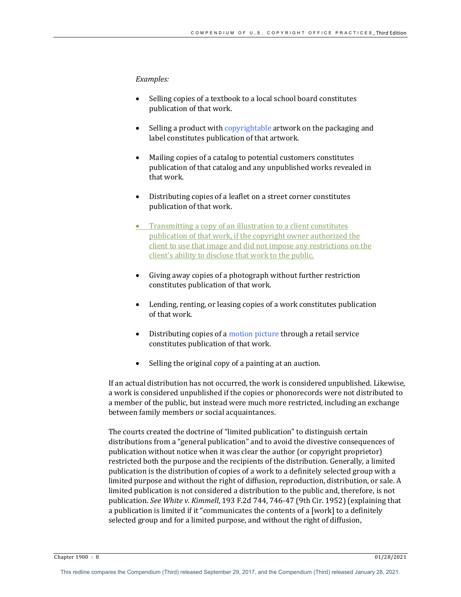#### *Examples:*

- Selling copies of a textbook to a local school board constitutes publication of that work.
- Selling a product with copyrightable artwork on the packaging and label constitutes publication of that artwork.
- Mailing copies of a catalog to potential customers constitutes publication of that catalog and any unpublished works revealed in that work.
- Distributing copies of a leaflet on a street corner constitutes publication of that work.
- Transmitting a copy of an illustration to a client constitutes publication of that work, if the copyright owner authorized the client to use that image and did not impose any restrictions on the client's ability to disclose that work to the public.
- Giving away copies of a photograph without further restriction constitutes publication of that work.
- Lending, renting, or leasing copies of a work constitutes publication of that work.
- Distributing copies of a motion picture through a retail service constitutes publication of that work.
- Selling the original copy of a painting at an auction.

If an actual distribution has not occurred, the work is considered unpublished. Likewise, a work is considered unpublished if the copies or phonorecords were not distributed to a member of the public, but instead were much more restricted, including an exchange between family members or social acquaintances.

The courts created the doctrine of "limited publication" to distinguish certain distributions from a "general publication" and to avoid the divestive consequences of publication without notice when it was clear the author (or copyright proprietor) restricted both the purpose and the recipients of the distribution. Generally, a limited publication is the distribution of copies of a work to a definitely selected group with a limited purpose and without the right of diffusion, reproduction, distribution, or sale. A limited publication is not considered a distribution to the public and, therefore, is not publication. See White v. Kimmell, 193 F.2d 744, 746-47 (9th Cir. 1952) (explaining that a publication is limited if it "communicates the contents of a [work] to a definitely selected group and for a limited purpose, and without the right of diffusion,

Chapter 1900 : 8 01/28/2021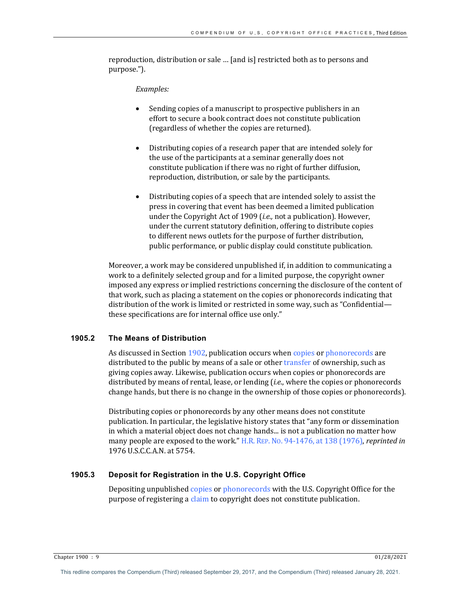reproduction, distribution or sale ... [and is] restricted both as to persons and purpose.").

#### *Examples:*

- Sending copies of a manuscript to prospective publishers in an effort to secure a book contract does not constitute publication (regardless of whether the copies are returned).
- Distributing copies of a research paper that are intended solely for the use of the participants at a seminar generally does not constitute publication if there was no right of further diffusion, reproduction, distribution, or sale by the participants.
- Distributing copies of a speech that are intended solely to assist the press in covering that event has been deemed a limited publication under the Copyright Act of 1909 *(i.e.*, not a publication). However, under the current statutory definition, offering to distribute copies to different news outlets for the purpose of further distribution, public performance, or public display could constitute publication.

Moreover, a work may be considered unpublished if, in addition to communicating a work to a definitely selected group and for a limited purpose, the copyright owner imposed any express or implied restrictions concerning the disclosure of the content of that work, such as placing a statement on the copies or phonorecords indicating that distribution of the work is limited or restricted in some way, such as "Confidential these specifications are for internal office use only."

# **1905.2 The Means of Distribution**

As discussed in Section 1902, publication occurs when copies or phonorecords are distributed to the public by means of a sale or other transfer of ownership, such as giving copies away. Likewise, publication occurs when copies or phonorecords are distributed by means of rental, lease, or lending *(i.e.*, where the copies or phonorecords change hands, but there is no change in the ownership of those copies or phonorecords).

Distributing copies or phonorecords by any other means does not constitute publication. In particular, the legislative history states that "any form or dissemination in which a material object does not change hands... is not a publication no matter how many people are exposed to the work." H.R. REP. No. 94-1476, at 138 (1976), *reprinted in* 1976 U.S.C.C.A.N. at 5754.

# **1905.3 Deposit for Registration in the U.S. Copyright Office**

Depositing unpublished copies or phonorecords with the U.S. Copyright Office for the purpose of registering a claim to copyright does not constitute publication.

Chapter 1900 : 9 01/28/2021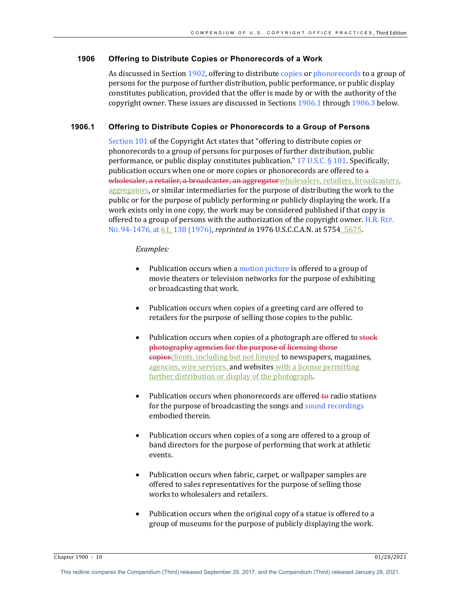# **1906 Offering to Distribute Copies or Phonorecords of a Work**

As discussed in Section 1902, offering to distribute copies or phonorecords to a group of persons for the purpose of further distribution, public performance, or public display constitutes publication, provided that the offer is made by or with the authority of the copyright owner. These issues are discussed in Sections 1906.1 through 1906.3 below.

# **1906.1 Offering to Distribute Copies or Phonorecords to a Group of Persons**

Section 101 of the Copyright Act states that "offering to distribute copies or phonorecords to a group of persons for purposes of further distribution, public performance, or public display constitutes publication."  $17 \text{ U.S.C.}$  § 101. Specifically, publication occurs when one or more copies or phonorecords are offered to  $a$ wholesaler, a retailer, a broadcaster, an aggregator wholesalers, retailers, broadcasters, aggregators, or similar intermediaries for the purpose of distributing the work to the public or for the purpose of publicly performing or publicly displaying the work. If a work exists only in one copy, the work may be considered published if that copy is offered to a group of persons with the authorization of the copyright owner. H.R. REP. No. 94-1476, at 61, 138 (1976), *reprinted in* 1976 U.S.C.C.A.N. at 5754, 5675.

#### *Examples:*

- Publication occurs when a motion picture is offered to a group of movie theaters or television networks for the purpose of exhibiting or broadcasting that work.
- Publication occurs when copies of a greeting card are offered to retailers for the purpose of selling those copies to the public.
- Publication occurs when copies of a photograph are offered to stock photography agencies for the purpose of licensing those copiesclients, including but not limited to newspapers, magazines, agencies, wire services, and websites with a license permitting further distribution or display of the photograph.
- Publication occurs when phonorecords are offered to radio stations for the purpose of broadcasting the songs and sound recordings embodied therein.
- Publication occurs when copies of a song are offered to a group of band directors for the purpose of performing that work at athletic events.
- Publication occurs when fabric, carpet, or wallpaper samples are offered to sales representatives for the purpose of selling those works to wholesalers and retailers.
- Publication occurs when the original copy of a statue is offered to a group of museums for the purpose of publicly displaying the work.

Chapter 1900 : 10 01/28/2021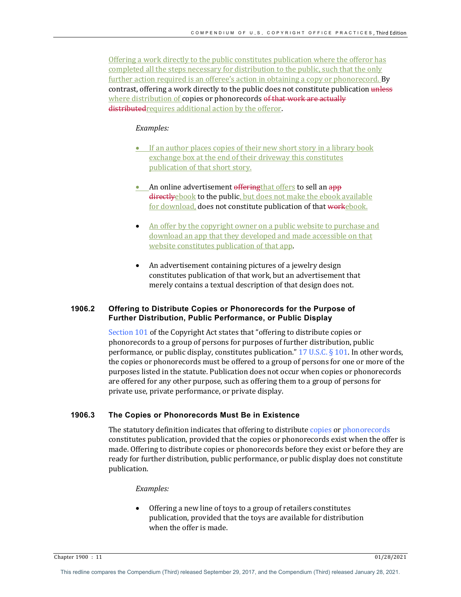Offering a work directly to the public constitutes publication where the offeror has completed all the steps necessary for distribution to the public, such that the only further action required is an offeree's action in obtaining a copy or phonorecord. By contrast, offering a work directly to the public does not constitute publication unless where distribution of copies or phonorecords of that work are actually distributed requires additional action by the offeror.

#### *Examples:*

- If an author places copies of their new short story in a library book exchange box at the end of their driveway this constitutes publication of that short story.
- An online advertisement offering that offers to sell an app directlyebook to the public, but does not make the ebook available for download, does not constitute publication of that workebook.
- An offer by the copyright owner on a public website to purchase and download an app that they developed and made accessible on that website constitutes publication of that app.
- An advertisement containing pictures of a jewelry design constitutes publication of that work, but an advertisement that merely contains a textual description of that design does not.

#### **1906.2 Offering to Distribute Copies or Phonorecords for the Purpose of Further Distribution, Public Performance, or Public Display**

Section 101 of the Copyright Act states that "offering to distribute copies or phonorecords to a group of persons for purposes of further distribution, public performance, or public display, constitutes publication."  $17 \text{ U.S.C.}$  § 101. In other words, the copies or phonorecords must be offered to a group of persons for one or more of the purposes listed in the statute. Publication does not occur when copies or phonorecords are offered for any other purpose, such as offering them to a group of persons for private use, private performance, or private display.

## **1906.3 The Copies or Phonorecords Must Be in Existence**

The statutory definition indicates that offering to distribute copies or phonorecords constitutes publication, provided that the copies or phonorecords exist when the offer is made. Offering to distribute copies or phonorecords before they exist or before they are ready for further distribution, public performance, or public display does not constitute publication.

#### *Examples:*

Offering a new line of toys to a group of retailers constitutes publication, provided that the toys are available for distribution when the offer is made.

Chapter 1900 : 11 01/28/2021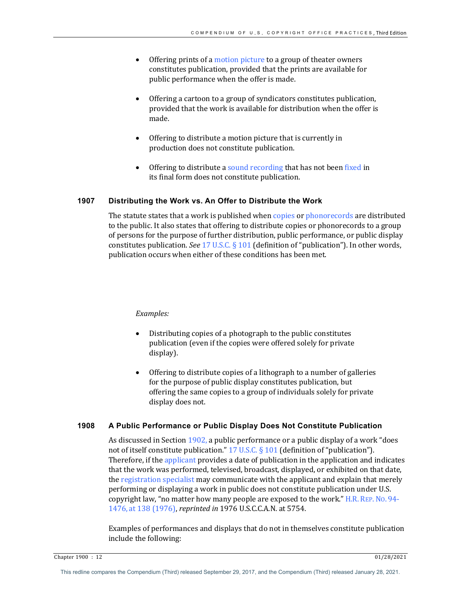- Offering prints of a motion picture to a group of theater owners constitutes publication, provided that the prints are available for public performance when the offer is made.
- Offering a cartoon to a group of syndicators constitutes publication, provided that the work is available for distribution when the offer is made.
- Offering to distribute a motion picture that is currently in production does not constitute publication.
- Offering to distribute a sound recording that has not been fixed in its final form does not constitute publication.

## **1907 Distributing the Work vs. An Offer to Distribute the Work**

The statute states that a work is published when copies or phonorecords are distributed to the public. It also states that offering to distribute copies or phonorecords to a group of persons for the purpose of further distribution, public performance, or public display constitutes publication. *See* 17 U.S.C. § 101 (definition of "publication"). In other words, publication occurs when either of these conditions has been met.

#### *Examples:*

- Distributing copies of a photograph to the public constitutes publication (even if the copies were offered solely for private display).
- Offering to distribute copies of a lithograph to a number of galleries for the purpose of public display constitutes publication, but offering the same copies to a group of individuals solely for private display does not.

# **1908 A Public Performance or Public Display Does Not Constitute Publication**

As discussed in Section  $1902$ , a public performance or a public display of a work "does" not of itself constitute publication." 17 U.S.C.  $\S$  101 (definition of "publication"). Therefore, if the applicant provides a date of publication in the application and indicates that the work was performed, televised, broadcast, displayed, or exhibited on that date, the registration specialist may communicate with the applicant and explain that merely performing or displaying a work in public does not constitute publication under U.S. copyright law, "no matter how many people are exposed to the work." H.R. REP. No. 94-1476, at 138 (1976), *reprinted in* 1976 U.S.C.C.A.N. at 5754.

Examples of performances and displays that do not in themselves constitute publication include the following: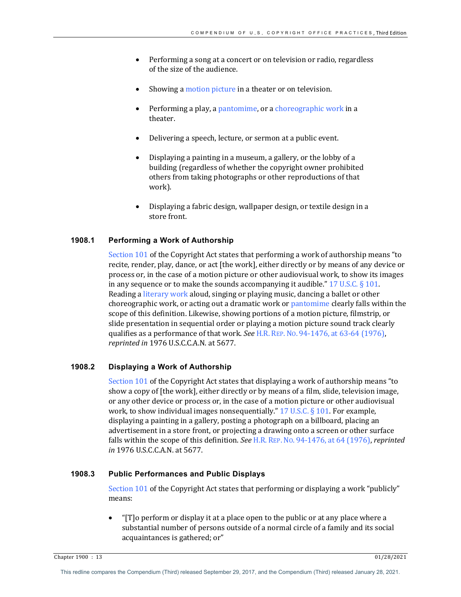- Performing a song at a concert or on television or radio, regardless of the size of the audience.
- Showing a motion picture in a theater or on television.
- Performing a play, a pantomime, or a choreographic work in a theater.
- Delivering a speech, lecture, or sermon at a public event.
- Displaying a painting in a museum, a gallery, or the lobby of a building (regardless of whether the copyright owner prohibited others from taking photographs or other reproductions of that work).
- Displaying a fabric design, wallpaper design, or textile design in a store front.

# **1908.1 Performing a Work of Authorship**

Section  $101$  of the Copyright Act states that performing a work of authorship means "to recite, render, play, dance, or act [the work], either directly or by means of any device or process or, in the case of a motion picture or other audiovisual work, to show its images in any sequence or to make the sounds accompanying it audible."  $17 \text{ U.S.C.} \S 101$ . Reading a literary work aloud, singing or playing music, dancing a ballet or other choreographic work, or acting out a dramatic work or pantomime clearly falls within the scope of this definition. Likewise, showing portions of a motion picture, filmstrip, or slide presentation in sequential order or playing a motion picture sound track clearly qualifies as a performance of that work. See H.R. REP. No. 94-1476, at 63-64 (1976), *reprinted in* 1976 U.S.C.C.A.N. at 5677.

# **1908.2 Displaying a Work of Authorship**

Section  $101$  of the Copyright Act states that displaying a work of authorship means "to show a copy of [the work], either directly or by means of a film, slide, television image, or any other device or process or, in the case of a motion picture or other audiovisual work, to show individual images nonsequentially."  $17$  U.S.C. § 101. For example, displaying a painting in a gallery, posting a photograph on a billboard, placing an advertisement in a store front, or projecting a drawing onto a screen or other surface falls within the scope of this definition. *See* H.R. REP. No. 94-1476, at 64 (1976), *reprinted in* 1976 U.S.C.C.A.N. at 5677.

#### **1908.3 Public Performances and Public Displays**

Section  $101$  of the Copyright Act states that performing or displaying a work "publicly" means:

" $[T]$ o perform or display it at a place open to the public or at any place where a substantial number of persons outside of a normal circle of a family and its social acquaintances is gathered; or"

Chapter 1900 : 13 01/28/2021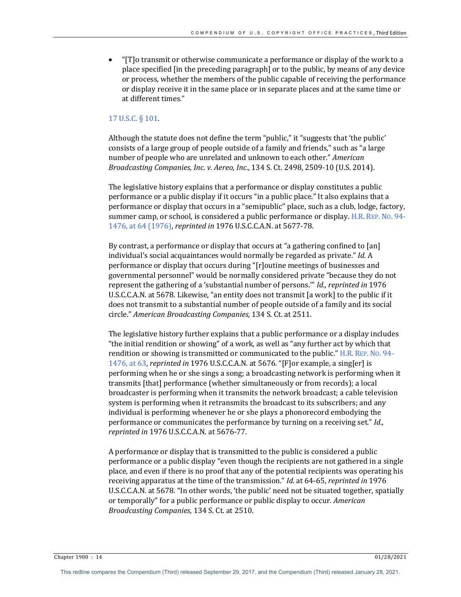" $[T]$ o transmit or otherwise communicate a performance or display of the work to a place specified [in the preceding paragraph] or to the public, by means of any device or process, whether the members of the public capable of receiving the performance or display receive it in the same place or in separate places and at the same time or at different times."

#### 17 U.S.C. § 101.

Although the statute does not define the term "public," it "suggests that 'the public' consists of a large group of people outside of a family and friends," such as "a large number of people who are unrelated and unknown to each other." American *Broadcasting Companies, Inc. v. Aereo, Inc.*, 134 S. Ct. 2498, 2509-10 (U.S. 2014).

The legislative history explains that a performance or display constitutes a public performance or a public display if it occurs "in a public place." It also explains that a performance or display that occurs in a "semipublic" place, such as a club, lodge, factory, summer camp, or school, is considered a public performance or display. H.R. REP. No. 94-1476, at 64 (1976), *reprinted in* 1976 U.S.C.C.A.N. at 5677-78.

By contrast, a performance or display that occurs at "a gathering confined to [an] individual's social acquaintances would normally be regarded as private." *Id.* A performance or display that occurs during "[r]outine meetings of businesses and governmental personnel" would be normally considered private "because they do not represent the gathering of a 'substantial number of persons." *Id., reprinted in* 1976 U.S.C.C.A.N. at 5678. Likewise, "an entity does not transmit [a work] to the public if it does not transmit to a substantial number of people outside of a family and its social circle." *American Broadcasting Companies,* 134 S. Ct. at 2511.

The legislative history further explains that a public performance or a display includes "the initial rendition or showing" of a work, as well as "any further act by which that rendition or showing is transmitted or communicated to the public."  $H.R.$  REP. No. 94-1476, at 63, *reprinted in* 1976 U.S.C.C.A.N. at 5676. "[F]or example, a sing[er] is performing when he or she sings a song; a broadcasting network is performing when it transmits [that] performance (whether simultaneously or from records); a local broadcaster is performing when it transmits the network broadcast; a cable television system is performing when it retransmits the broadcast to its subscribers; and any individual is performing whenever he or she plays a phonorecord embodying the performance or communicates the performance by turning on a receiving set." *Id.*, *reprinted in* 1976 U.S.C.C.A.N. at 5676-77.

A performance or display that is transmitted to the public is considered a public performance or a public display "even though the recipients are not gathered in a single place, and even if there is no proof that any of the potential recipients was operating his receiving apparatus at the time of the transmission." *Id.* at 64-65, *reprinted in* 1976 U.S.C.C.A.N. at 5678. "In other words, 'the public' need not be situated together, spatially or temporally" for a public performance or public display to occur. *American Broadcasting Companies,* 134 S. Ct. at 2510.

Chapter 1900 : 14 01/28/2021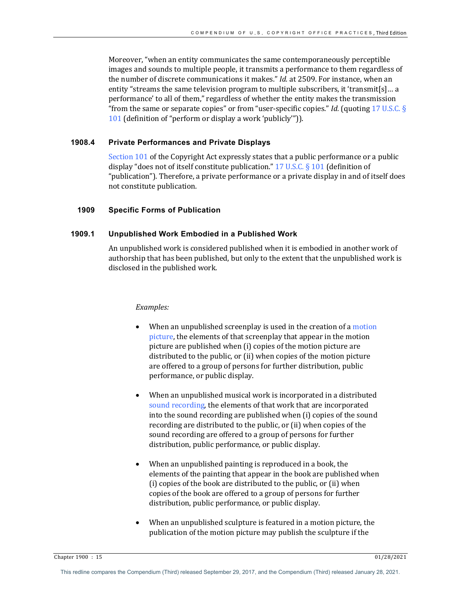Moreover, "when an entity communicates the same contemporaneously perceptible images and sounds to multiple people, it transmits a performance to them regardless of the number of discrete communications it makes." *Id.* at 2509. For instance, when an entity "streams the same television program to multiple subscribers, it 'transmit[s]... a performance' to all of them," regardless of whether the entity makes the transmission "from the same or separate copies" or from "user-specific copies." *Id.* (quoting  $17 \text{ U.S.C. }$ §) 101 (definition of "perform or display a work 'publicly'")).

# **1908.4 Private Performances and Private Displays**

Section  $101$  of the Copyright Act expressly states that a public performance or a public display "does not of itself constitute publication." 17 U.S.C.  $\S$  101 (definition of "publication"). Therefore, a private performance or a private display in and of itself does not constitute publication.

## **1909 Specific Forms of Publication**

# **1909.1 Unpublished Work Embodied in a Published Work**

An unpublished work is considered published when it is embodied in another work of authorship that has been published, but only to the extent that the unpublished work is disclosed in the published work.

#### *Examples:*

- When an unpublished screenplay is used in the creation of a motion picture, the elements of that screenplay that appear in the motion picture are published when (i) copies of the motion picture are distributed to the public, or (ii) when copies of the motion picture are offered to a group of persons for further distribution, public performance, or public display.
- When an unpublished musical work is incorporated in a distributed sound recording, the elements of that work that are incorporated into the sound recording are published when (i) copies of the sound recording are distributed to the public, or (ii) when copies of the sound recording are offered to a group of persons for further distribution, public performance, or public display.
- When an unpublished painting is reproduced in a book, the elements of the painting that appear in the book are published when  $(i)$  copies of the book are distributed to the public, or  $(ii)$  when copies of the book are offered to a group of persons for further distribution, public performance, or public display.
- When an unpublished sculpture is featured in a motion picture, the publication of the motion picture may publish the sculpture if the

Chapter 1900 : 15 01/28/2021